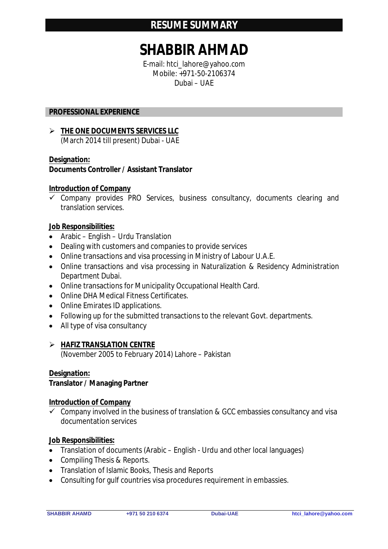# **SHABBIR AHMAD**

E-mail: htci\_lahore@yahoo.com Mobile: +971-50-2106374 Dubai – UAE

# **PROFESSIONAL EXPERIENCE**

 **THE ONE DOCUMENTS SERVICES LLC** (March 2014 till present) Dubai - UAE

## **Designation:**

**Documents Controller / Assistant Translator**

## **Introduction of Company**

 $\checkmark$  Company provides PRO Services, business consultancy, documents clearing and translation services.

## **Job Responsibilities:**

- Arabic English Urdu Translation
- Dealing with customers and companies to provide services
- Online transactions and visa processing in Ministry of Labour U.A.E.
- Online transactions and visa processing in Naturalization & Residency Administration Department Dubai.
- Online transactions for Municipality Occupational Health Card.
- Online DHA Medical Fitness Certificates.
- Online Emirates ID applications.
- Following up for the submitted transactions to the relevant Govt. departments.
- All type of visa consultancy

### **HAFIZ TRANSLATION CENTRE**

(November 2005 to February 2014) Lahore – Pakistan

### **Designation:**

# **Translator / Managing Partner**

### **Introduction of Company**

 $\checkmark$  Company involved in the business of translation & GCC embassies consultancy and visa documentation services

### **Job Responsibilities:**

- Translation of documents (Arabic English Urdu and other local languages)
- Compiling Thesis & Reports.
- Translation of Islamic Books, Thesis and Reports
- Consulting for gulf countries visa procedures requirement in embassies.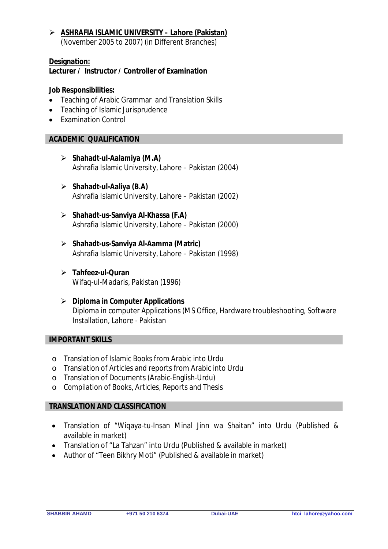# **ASHRAFIA ISLAMIC UNIVERSITY – Lahore (Pakistan)**  (November 2005 to 2007) (in Different Branches)

#### **Designation: Lecturer / Instructor / Controller of Examination**

# **Job Responsibilities:**

- Teaching of Arabic Grammar and Translation Skills
- Teaching of Islamic Jurisprudence
- **Examination Control**

# **ACADEMIC QUALIFICATION**

- **Shahadt-ul-Aalamiya (M.A)** Ashrafia Islamic University, Lahore – Pakistan (2004)
- **Shahadt-ul-Aaliya (B.A)** Ashrafia Islamic University, Lahore – Pakistan (2002)
- **Shahadt-us-Sanviya Al-Khassa (F.A)** Ashrafia Islamic University, Lahore – Pakistan (2000)
- **Shahadt-us-Sanviya Al-Aamma (Matric)** Ashrafia Islamic University, Lahore – Pakistan (1998)
- **Tahfeez-ul-Quran** Wifaq-ul-Madaris, Pakistan (1996)
- **Diploma in Computer Applications** Diploma in computer Applications (MS Office, Hardware troubleshooting, Software Installation, Lahore - Pakistan

# **IMPORTANT SKILLS**

- o Translation of Islamic Books from Arabic into Urdu
- o Translation of Articles and reports from Arabic into Urdu
- o Translation of Documents (Arabic-English-Urdu)
- o Compilation of Books, Articles, Reports and Thesis

# **TRANSLATION AND CLASSIFICATION**

- Translation of "Wiqaya-tu-Insan Minal Jinn wa Shaitan" into Urdu (Published & available in market)
- Translation of "La Tahzan" into Urdu (Published & available in market)
- Author of "Teen Bikhry Moti" (Published & available in market)